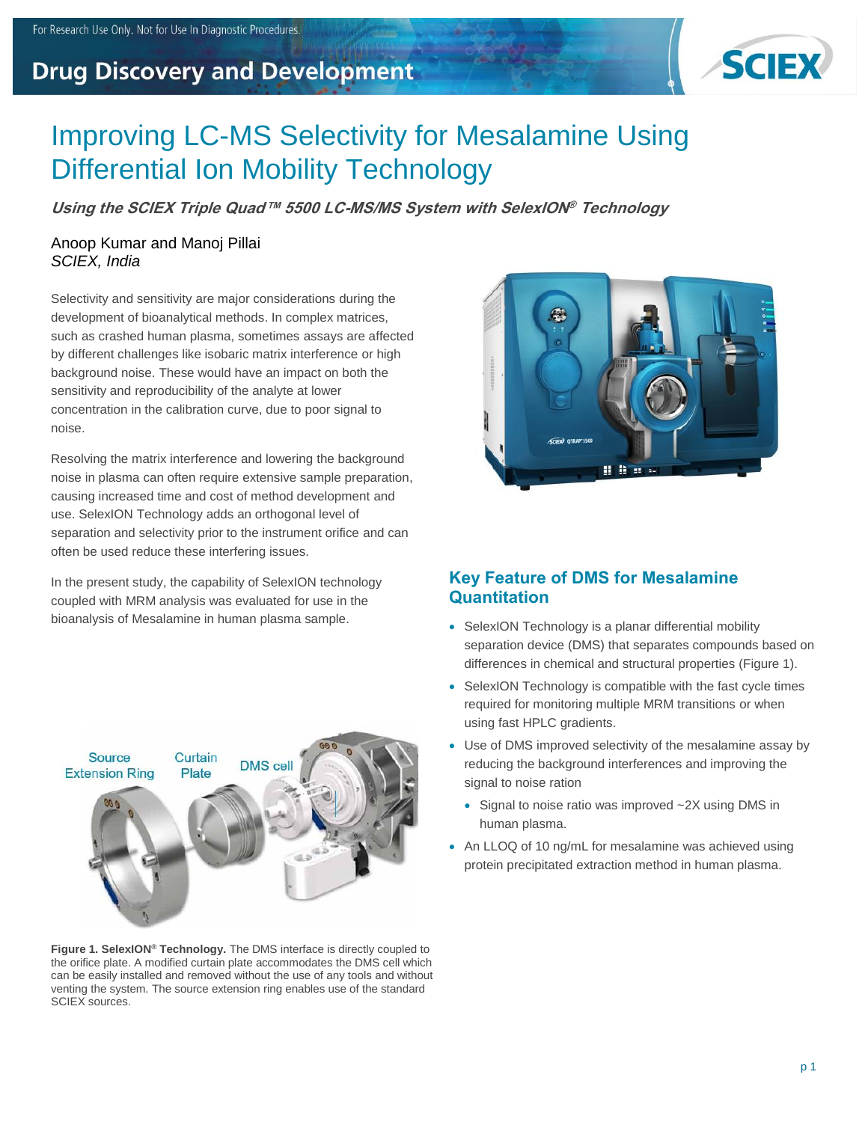# **Drug Discovery and Development**



# Improving LC-MS Selectivity for Mesalamine Using Differential Ion Mobility Technology

**Using the SCIEX Triple Quad™ 5500 LC-MS/MS System with SelexION® Technology**

### Anoop Kumar and Manoj Pillai *SCIEX, India*

Selectivity and sensitivity are major considerations during the development of bioanalytical methods. In complex matrices, such as crashed human plasma, sometimes assays are affected by different challenges like isobaric matrix interference or high background noise. These would have an impact on both the sensitivity and reproducibility of the analyte at lower concentration in the calibration curve, due to poor signal to noise.

Resolving the matrix interference and lowering the background noise in plasma can often require extensive sample preparation, causing increased time and cost of method development and use. SelexION Technology adds an orthogonal level of separation and selectivity prior to the instrument orifice and can often be used reduce these interfering issues.

In the present study, the capability of SelexION technology coupled with MRM analysis was evaluated for use in the bioanalysis of Mesalamine in human plasma sample.



**Figure 1. SelexION® Technology.** The DMS interface is directly coupled to the orifice plate. A modified curtain plate accommodates the DMS cell which can be easily installed and removed without the use of any tools and without venting the system. The source extension ring enables use of the standard SCIEX sources.



# **Key Feature of DMS for Mesalamine Quantitation**

- SelexION Technology is a planar differential mobility separation device (DMS) that separates compounds based on differences in chemical and structural properties (Figure 1).
- SelexION Technology is compatible with the fast cycle times required for monitoring multiple MRM transitions or when using fast HPLC gradients.
- Use of DMS improved selectivity of the mesalamine assay by reducing the background interferences and improving the signal to noise ration
	- Signal to noise ratio was improved ~2X using DMS in human plasma.
- An LLOQ of 10 ng/mL for mesalamine was achieved using protein precipitated extraction method in human plasma.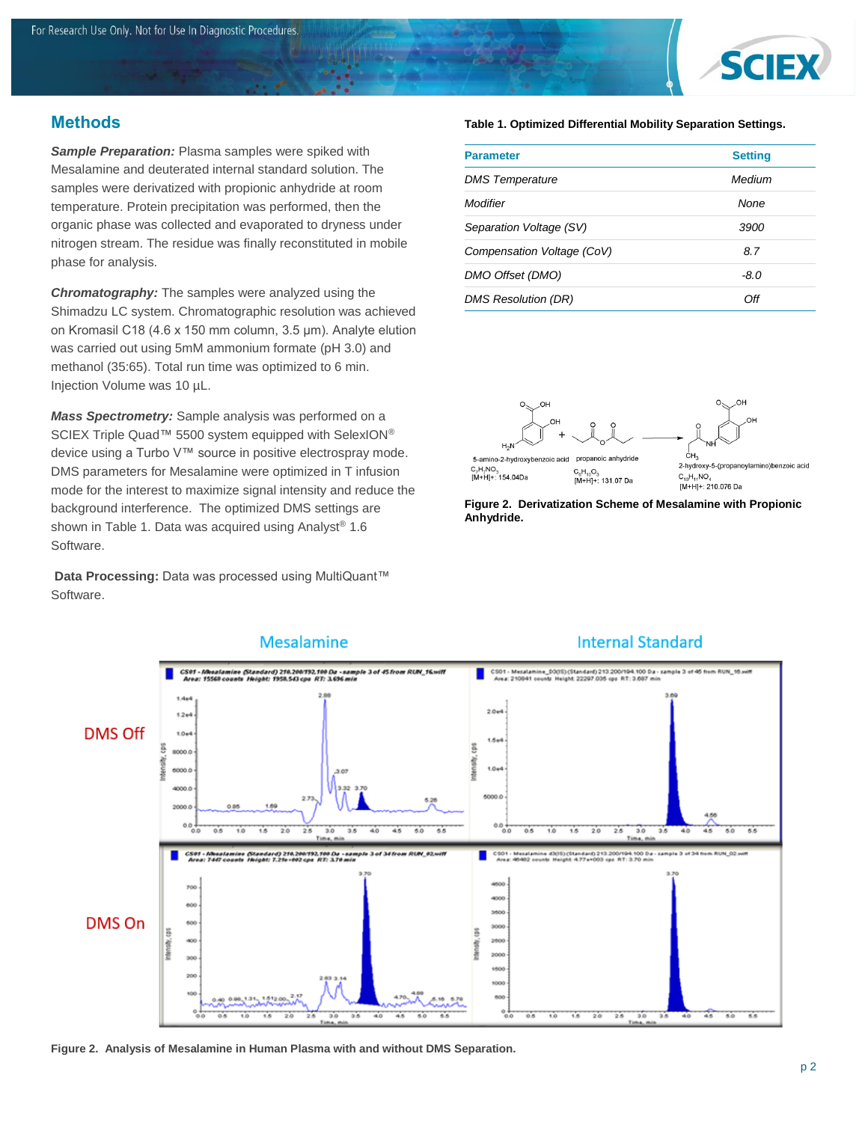

# **Methods**

*Sample Preparation:* Plasma samples were spiked with Mesalamine and deuterated internal standard solution. The samples were derivatized with propionic anhydride at room temperature. Protein precipitation was performed, then the organic phase was collected and evaporated to dryness under nitrogen stream. The residue was finally reconstituted in mobile phase for analysis.

*Chromatography:* The samples were analyzed using the Shimadzu LC system. Chromatographic resolution was achieved on Kromasil C18 (4.6 x 150 mm column, 3.5 μm). Analyte elution was carried out using 5mM ammonium formate (pH 3.0) and methanol (35:65). Total run time was optimized to 6 min. Injection Volume was 10 µL.

*Mass Spectrometry:* Sample analysis was performed on a SCIEX Triple Quad™ 5500 system equipped with SelexION® device using a Turbo V™ source in positive electrospray mode. DMS parameters for Mesalamine were optimized in T infusion mode for the interest to maximize signal intensity and reduce the background interference. The optimized DMS settings are shown in Table 1. Data was acquired using Analyst<sup>®</sup> 1.6 Software.

**Data Processing:** Data was processed using MultiQuant™ Software.

#### **Table 1. Optimized Differential Mobility Separation Settings.**

| <b>Parameter</b>           | <b>Setting</b> |  |
|----------------------------|----------------|--|
| <b>DMS</b> Temperature     | Medium         |  |
| Modifier                   | None           |  |
| Separation Voltage (SV)    | 3900           |  |
| Compensation Voltage (CoV) | 8.7            |  |
| DMO Offset (DMO)           | $-8.0$         |  |
| <b>DMS Resolution (DR)</b> | ∩ff            |  |

 $CH<sub>3</sub>$ propanoic anhydride 5-amino-2-hydroxybenzoic acid C<sub>7</sub>H<sub>7</sub>NO<sub>3</sub><br>[M+H]+: 154.04Da C<sub>6</sub>H<sub>10</sub>O<sub>3</sub><br>[M+H]+: 131.07 Da

2-hydroxy-5-(propanovlamino)benzoic acid  $C_{10}H_{11}NO_A$ [M+H]+: 210.076 Da

**Figure 2. Derivatization Scheme of Mesalamine with Propionic Anhydride.**



**Figure 2. Analysis of Mesalamine in Human Plasma with and without DMS Separation.**

### **Internal Standard**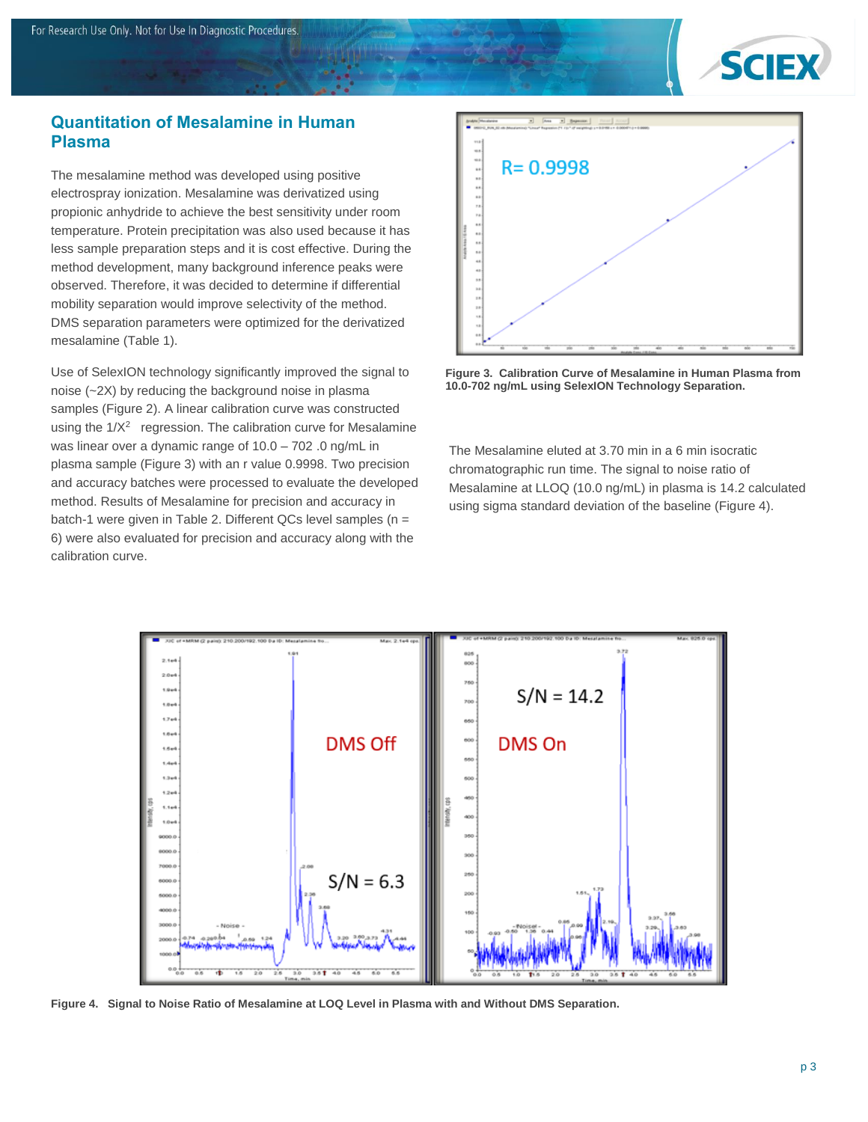

## **Quantitation of Mesalamine in Human Plasma**

The mesalamine method was developed using positive electrospray ionization. Mesalamine was derivatized using propionic anhydride to achieve the best sensitivity under room temperature. Protein precipitation was also used because it has less sample preparation steps and it is cost effective. During the method development, many background inference peaks were observed. Therefore, it was decided to determine if differential mobility separation would improve selectivity of the method. DMS separation parameters were optimized for the derivatized mesalamine (Table 1).

Use of SelexION technology significantly improved the signal to noise (~2X) by reducing the background noise in plasma samples (Figure 2). A linear calibration curve was constructed using the  $1/X^2$  regression. The calibration curve for Mesalamine was linear over a dynamic range of 10.0 – 702 .0 ng/mL in plasma sample (Figure 3) with an r value 0.9998. Two precision and accuracy batches were processed to evaluate the developed method. Results of Mesalamine for precision and accuracy in batch-1 were given in Table 2. Different QCs level samples (n = 6) were also evaluated for precision and accuracy along with the calibration curve.



**Figure 3. Calibration Curve of Mesalamine in Human Plasma from 10.0-702 ng/mL using SelexION Technology Separation.** 

The Mesalamine eluted at 3.70 min in a 6 min isocratic chromatographic run time. The signal to noise ratio of Mesalamine at LLOQ (10.0 ng/mL) in plasma is 14.2 calculated using sigma standard deviation of the baseline (Figure 4).



**Figure 4. Signal to Noise Ratio of Mesalamine at LOQ Level in Plasma with and Without DMS Separation.**